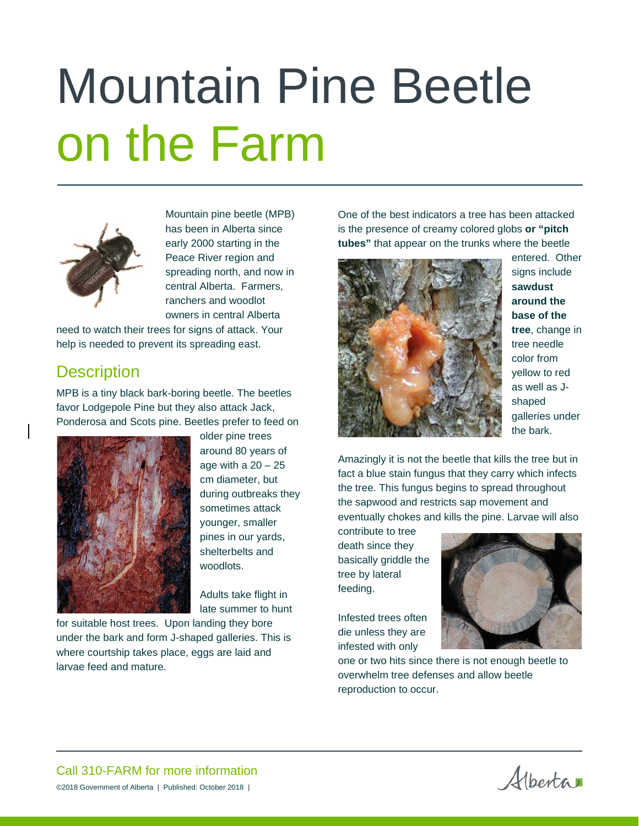# Mountain Pine Beetle on the Farm



Mountain pine beetle (MPB) has been in Alberta since early 2000 starting in the Peace River region and spreading north, and now in central Alberta. Farmers, ranchers and woodlot owners in central Alberta

need to watch their trees for signs of attack. Your help is needed to prevent its spreading east.

### **Description**

MPB is a tiny black bark-boring beetle. The beetles favor Lodgepole Pine but they also attack Jack, Ponderosa and Scots pine. Beetles prefer to feed on



older pine trees around 80 years of age with a  $20 - 25$ cm diameter, but during outbreaks they sometimes attack younger, smaller pines in our yards, shelterbelts and woodlots.

Adults take flight in late summer to hunt

for suitable host trees. Upon landing they bore under the bark and form J-shaped galleries. This is where courtship takes place, eggs are laid and larvae feed and mature.

One of the best indicators a tree has been attacked is the presence of creamy colored globs **or "pitch tubes"** that appear on the trunks where the beetle



entered. Other signs include **sawdust around the base of the tree**, change in tree needle color from yellow to red as well as Jshaped galleries under the bark.

Amazingly it is not the beetle that kills the tree but in fact a blue stain fungus that they carry which infects the tree. This fungus begins to spread throughout the sapwood and restricts sap movement and eventually chokes and kills the pine. Larvae will also

contribute to tree death since they basically griddle the tree by lateral feeding.

Infested trees often die unless they are infested with only



one or two hits since there is not enough beetle to overwhelm tree defenses and allow beetle reproduction to occur.

Alberta